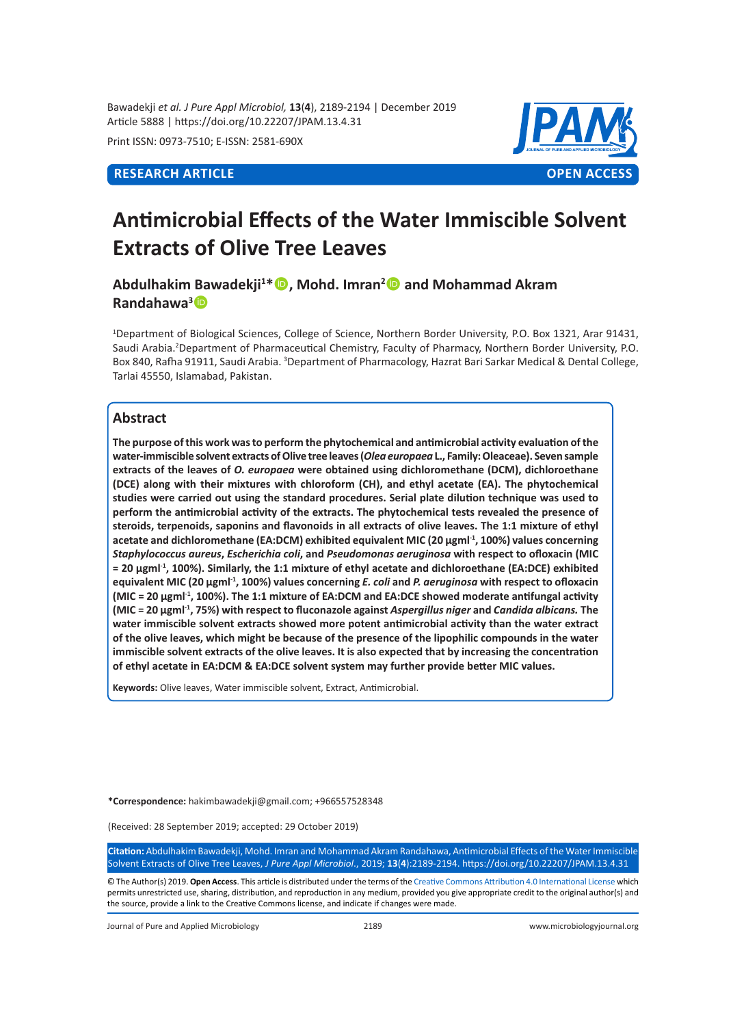Bawadekji *et al. J Pure Appl Microbiol,* **13**(**4**), 2189-2194 | December 2019 Article 5888 | https://doi.org/10.22207/JPAM.13.4.31

Print ISSN: 0973-7510; E-ISSN: 2581-690X



# **Antimicrobial Effects of the Water Immiscible Solvent Extracts of Olive Tree Leaves**

**Abdulhakim Bawadekji<sup>1</sup> \*, Mohd. Imran<sup>2</sup> and Mohammad Akram Randahawa<sup>3</sup>**

1 Department of Biological Sciences, College of Science, Northern Border University, P.O. Box 1321, Arar 91431, Saudi Arabia.2 Department of Pharmaceutical Chemistry, Faculty of Pharmacy, Northern Border University, P.O. Box 840, Rafha 91911, Saudi Arabia. <sup>3</sup>Department of Pharmacology, Hazrat Bari Sarkar Medical & Dental College, Tarlai 45550, Islamabad, Pakistan.

# **Abstract**

**The purpose of this work was to perform the phytochemical and antimicrobial activity evaluation of the water-immiscible solvent extracts of Olive tree leaves (***Olea europaea* **L., Family: Oleaceae). Seven sample extracts of the leaves of** *O. europaea* **were obtained using dichloromethane (DCM), dichloroethane (DCE) along with their mixtures with chloroform (CH), and ethyl acetate (EA). The phytochemical studies were carried out using the standard procedures. Serial plate dilution technique was used to perform the antimicrobial activity of the extracts. The phytochemical tests revealed the presence of steroids, terpenoids, saponins and flavonoids in all extracts of olive leaves. The 1:1 mixture of ethyl acetate and dichloromethane (EA:DCM) exhibited equivalent MIC (20 µgml-1, 100%) values concerning**  *Staphylococcus aureus***,** *Escherichia coli***, and** *Pseudomonas aeruginosa* **with respect to ofloxacin (MIC = 20 µgml-1, 100%). Similarly, the 1:1 mixture of ethyl acetate and dichloroethane (EA:DCE) exhibited equivalent MIC (20 µgml-1, 100%) values concerning** *E. coli* **and** *P. aeruginosa* **with respect to ofloxacin (MIC = 20 µgml-1, 100%). The 1:1 mixture of EA:DCM and EA:DCE showed moderate antifungal activity (MIC = 20 µgml-1, 75%) with respect to fluconazole against** *Aspergillus niger* **and** *Candida albicans.* **The water immiscible solvent extracts showed more potent antimicrobial activity than the water extract of the olive leaves, which might be because of the presence of the lipophilic compounds in the water immiscible solvent extracts of the olive leaves. It is also expected that by increasing the concentration of ethyl acetate in EA:DCM & EA:DCE solvent system may further provide better MIC values.**

**Keywords:** Olive leaves, Water immiscible solvent, Extract, Antimicrobial.

**\*Correspondence:** hakimbawadekji@gmail.com; +966557528348

(Received: 28 September 2019; accepted: 29 October 2019)

**Citation:** Abdulhakim Bawadekji, Mohd. Imran and Mohammad Akram Randahawa, Antimicrobial Effects of the Water Immiscible Solvent Extracts of Olive Tree Leaves, *J Pure Appl Microbiol*., 2019; **13**(**4**):2189-2194. https://doi.org/10.22207/JPAM.13.4.31

© The Author(s) 2019. **Open Access**. This article is distributed under the terms of the [Creative Commons Attribution 4.0 International License](https://creativecommons.org/licenses/by/4.0/) which permits unrestricted use, sharing, distribution, and reproduction in any medium, provided you give appropriate credit to the original author(s) and the source, provide a link to the Creative Commons license, and indicate if changes were made.

Journal of Pure and Applied Microbiology 2189 www.microbiologyjournal.org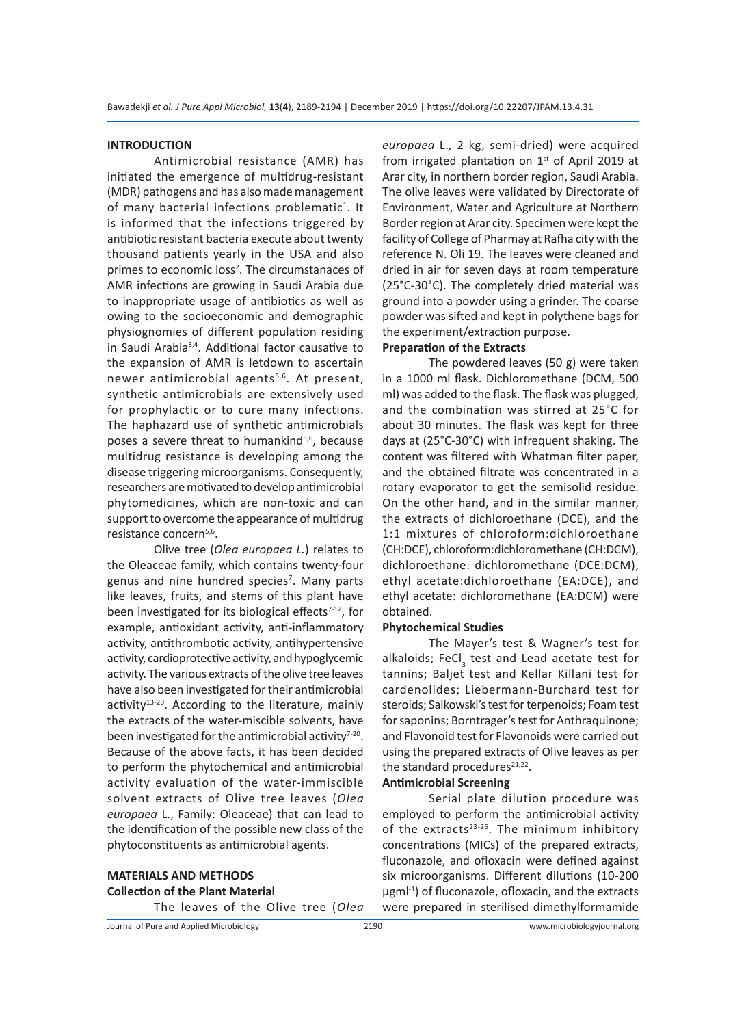#### **INTRODUCTION**

Antimicrobial resistance (AMR) has initiated the emergence of multidrug-resistant (MDR) pathogens and has also made management of many bacterial infections problematic<sup>1</sup>. It is informed that the infections triggered by antibiotic resistant bacteria execute about twenty thousand patients yearly in the USA and also primes to economic loss<sup>2</sup>. The circumstanaces of AMR infections are growing in Saudi Arabia due to inappropriate usage of antibiotics as well as owing to the socioeconomic and demographic physiognomies of different population residing in Saudi Arabia3,4. Additional factor causative to the expansion of AMR is letdown to ascertain newer antimicrobial agents<sup>5,6</sup>. At present, synthetic antimicrobials are extensively used for prophylactic or to cure many infections. The haphazard use of synthetic antimicrobials poses a severe threat to humankind<sup>5,6</sup>, because multidrug resistance is developing among the disease triggering microorganisms. Consequently, researchers are motivated to develop antimicrobial phytomedicines, which are non-toxic and can support to overcome the appearance of multidrug resistance concern<sup>5,6</sup>.

Olive tree (*Olea europaea L.*) relates to the Oleaceae family, which contains twenty-four genus and nine hundred species<sup>7</sup>. Many parts like leaves, fruits, and stems of this plant have been investigated for its biological effects $7-12$ , for example, antioxidant activity, anti-inflammatory activity, antithrombotic activity, antihypertensive activity, cardioprotective activity, and hypoglycemic activity. The various extracts of the olive tree leaves have also been investigated for their antimicrobial activity $13-20$ . According to the literature, mainly the extracts of the water-miscible solvents, have been investigated for the antimicrobial activity $7-20$ . Because of the above facts, it has been decided to perform the phytochemical and antimicrobial activity evaluation of the water-immiscible solvent extracts of Olive tree leaves (*Olea europaea* L., Family: Oleaceae) that can lead to the identification of the possible new class of the phytoconstituents as antimicrobial agents.

# **MATERIALS AND METHODS Collection of the Plant Material**

The leaves of the Olive tree (*Olea* 

*europaea* L.*,* 2 kg, semi-dried) were acquired from irrigated plantation on  $1<sup>st</sup>$  of April 2019 at Arar city, in northern border region, Saudi Arabia. The olive leaves were validated by Directorate of Environment, Water and Agriculture at Northern Border region at Arar city. Specimen were kept the facility of College of Pharmay at Rafha city with the reference N. Oli 19. The leaves were cleaned and dried in air for seven days at room temperature (25°C-30°C). The completely dried material was ground into a powder using a grinder. The coarse powder was sifted and kept in polythene bags for the experiment/extraction purpose.

# **Preparation of the Extracts**

The powdered leaves (50 g) were taken in a 1000 ml flask. Dichloromethane (DCM, 500 ml) was added to the flask. The flask was plugged, and the combination was stirred at 25°C for about 30 minutes. The flask was kept for three days at (25°C-30°C) with infrequent shaking. The content was filtered with Whatman filter paper, and the obtained filtrate was concentrated in a rotary evaporator to get the semisolid residue. On the other hand, and in the similar manner, the extracts of dichloroethane (DCE), and the 1:1 mixtures of chloroform:dichloroethane (CH:DCE), chloroform:dichloromethane (CH:DCM), dichloroethane: dichloromethane (DCE:DCM), ethyl acetate:dichloroethane (EA:DCE), and ethyl acetate: dichloromethane (EA:DCM) were obtained.

### **Phytochemical Studies**

The Mayer's test & Wagner's test for alkaloids; FeCl<sub>3</sub> test and Lead acetate test for tannins; Baljet test and Kellar Killani test for cardenolides; Liebermann-Burchard test for steroids; Salkowski's test for terpenoids; Foam test for saponins; Borntrager's test for Anthraquinone; and Flavonoid test for Flavonoids were carried out using the prepared extracts of Olive leaves as per the standard procedures<sup>21,22</sup>.

# **Antimicrobial Screening**

Serial plate dilution procedure was employed to perform the antimicrobial activity of the extracts<sup>23-26</sup>. The minimum inhibitory concentrations (MICs) of the prepared extracts, fluconazole, and ofloxacin were defined against six microorganisms. Different dilutions (10-200  $\mu$ gml<sup>-1</sup>) of fluconazole, ofloxacin, and the extracts were prepared in sterilised dimethylformamide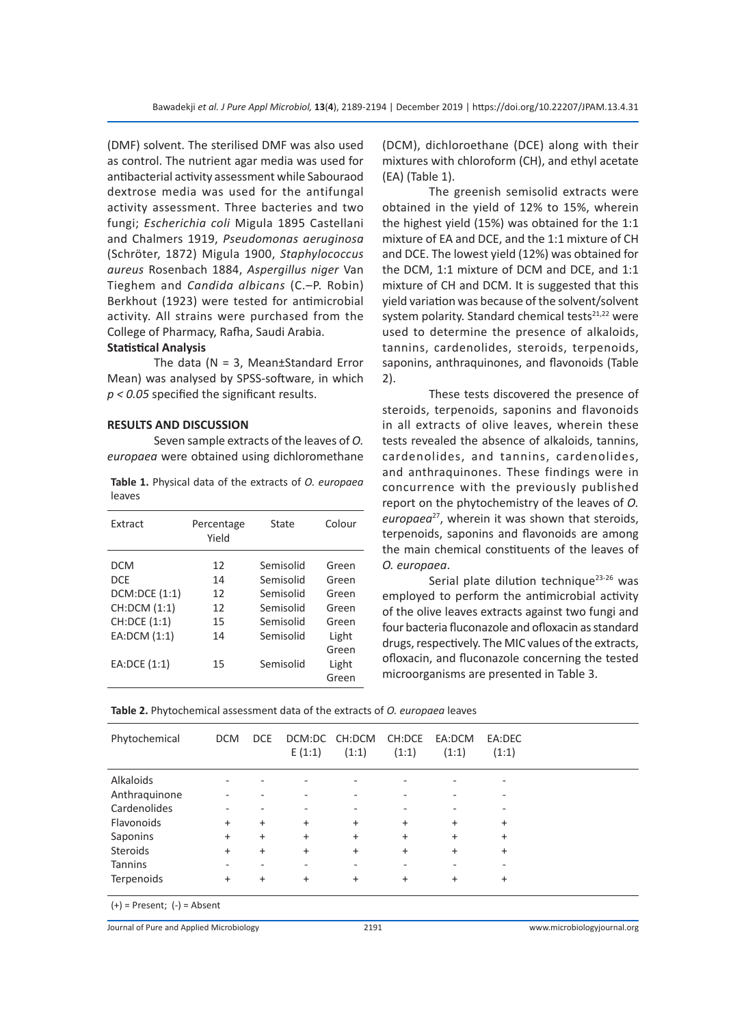(DMF) solvent. The sterilised DMF was also used as control. The nutrient agar media was used for antibacterial activity assessment while Sabouraod dextrose media was used for the antifungal activity assessment. Three bacteries and two fungi; *Escherichia coli* Migula 1895 Castellani and Chalmers 1919, *Pseudomonas aeruginosa* (Schröter, 1872) Migula 1900, *Staphylococcus aureus* Rosenbach 1884, *Aspergillus niger* Van Tieghem and *Candida albicans* (C.–P. Robin) Berkhout (1923) were tested for antimicrobial activity. All strains were purchased from the College of Pharmacy, Rafha, Saudi Arabia.

## **Statistical Analysis**

The data ( $N = 3$ , Mean±Standard Error Mean) was analysed by SPSS-software, in which *p < 0.05* specified the significant results.

#### **RESULTS AND DISCUSSION**

Seven sample extracts of the leaves of *O. europaea* were obtained using dichloromethane

**Table 1.** Physical data of the extracts of *O. europaea* leaves

| Extract       | Percentage<br>Yield | State     | Colour |
|---------------|---------------------|-----------|--------|
| <b>DCM</b>    | 12                  | Semisolid | Green  |
| <b>DCF</b>    | 14                  | Semisolid | Green  |
| DCM:DCE (1:1) | 12                  | Semisolid | Green  |
| CH:DCM (1:1)  | 12                  | Semisolid | Green  |
| CH:DCE (1:1)  | 15                  | Semisolid | Green  |
| EA:DCM (1:1)  | 14                  | Semisolid | Light  |
|               |                     |           | Green  |
| EA: DCE (1:1) | 15                  | Semisolid | Light  |
|               |                     |           | Green  |

(DCM), dichloroethane (DCE) along with their mixtures with chloroform (CH), and ethyl acetate (EA) (Table 1).

The greenish semisolid extracts were obtained in the yield of 12% to 15%, wherein the highest yield (15%) was obtained for the 1:1 mixture of EA and DCE, and the 1:1 mixture of CH and DCE. The lowest yield (12%) was obtained for the DCM, 1:1 mixture of DCM and DCE, and 1:1 mixture of CH and DCM. It is suggested that this yield variation was because of the solvent/solvent system polarity. Standard chemical tests $21,22$  were used to determine the presence of alkaloids, tannins, cardenolides, steroids, terpenoids, saponins, anthraquinones, and flavonoids (Table 2).

These tests discovered the presence of steroids, terpenoids, saponins and flavonoids in all extracts of olive leaves, wherein these tests revealed the absence of alkaloids, tannins, cardenolides, and tannins, cardenolides, and anthraquinones. These findings were in concurrence with the previously published report on the phytochemistry of the leaves of *O. europaea*<sup>27</sup>, wherein it was shown that steroids, terpenoids, saponins and flavonoids are among the main chemical constituents of the leaves of *O. europaea*.

Serial plate dilution technique<sup>23-26</sup> was employed to perform the antimicrobial activity of the olive leaves extracts against two fungi and four bacteria fluconazole and ofloxacin as standard drugs, respectively. The MIC values of the extracts, ofloxacin, and fluconazole concerning the tested microorganisms are presented in Table 3.

| Table 2. Phytochemical assessment data of the extracts of <i>O. europaea</i> leaves |  |
|-------------------------------------------------------------------------------------|--|
|-------------------------------------------------------------------------------------|--|

| Phytochemical                   | <b>DCM</b> | <b>DCE</b> | DCM:DC CH:DCM<br>E(1:1) | (1:1)     | CH:DCE<br>(1:1) | EA:DCM<br>(1:1) | EA:DEC<br>(1:1) |  |
|---------------------------------|------------|------------|-------------------------|-----------|-----------------|-----------------|-----------------|--|
| Alkaloids                       |            |            |                         |           |                 |                 |                 |  |
| Anthraquinone                   |            |            |                         |           |                 |                 |                 |  |
| Cardenolides                    |            |            |                         |           |                 |                 |                 |  |
| Flavonoids                      | $+$        | $\ddot{}$  | $\ddot{}$               | $\ddot{}$ | $\ddot{}$       | $+$             | $\ddot{}$       |  |
| Saponins                        | $\ddot{}$  | $\ddot{}$  | $+$                     | $\ddot{}$ | $\ddot{}$       | $+$             | $\ddot{}$       |  |
| <b>Steroids</b>                 | $\ddot{}$  | $\ddot{}$  | $\ddot{}$               | $\ddot{}$ | $\ddot{}$       | $\ddot{}$       | $\ddot{}$       |  |
| <b>Tannins</b>                  |            |            |                         |           |                 |                 |                 |  |
| <b>Terpenoids</b>               | $+$        | $\ddot{}$  | $\ddot{}$               | $\ddot{}$ | $\ddot{}$       | $+$             | $\ddot{}$       |  |
| $(+)$ = Present; $(-)$ = Absent |            |            |                         |           |                 |                 |                 |  |

Journal of Pure and Applied Microbiology 2191 www.microbiologyjournal.org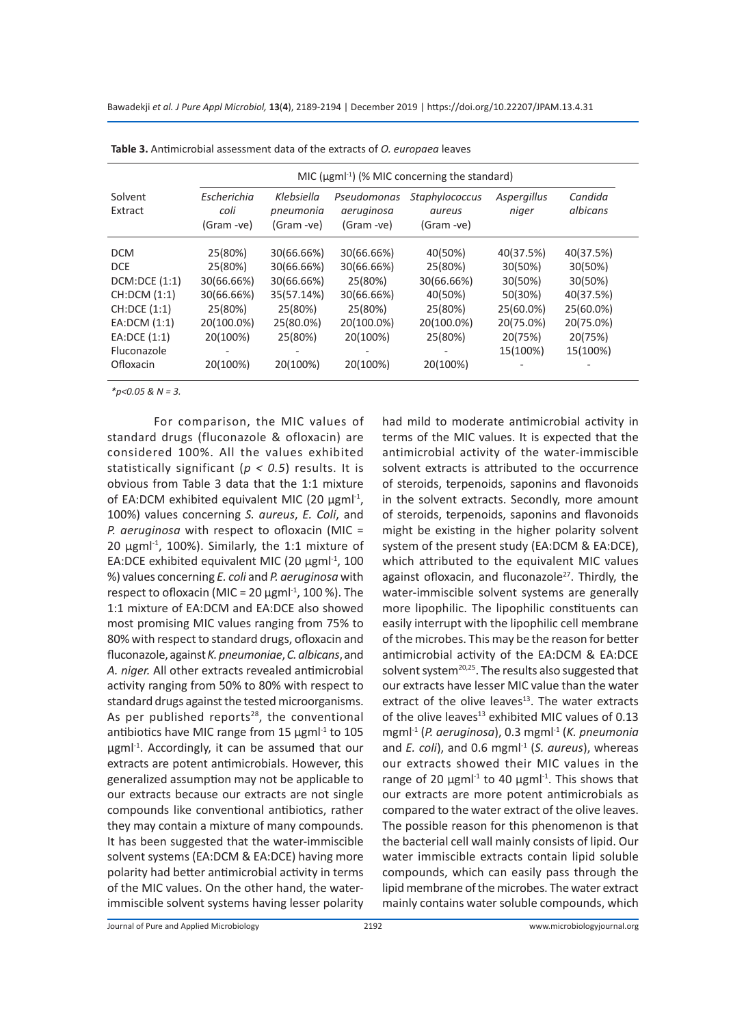|                    | MIC ( $\mu$ gml <sup>-1</sup> ) (% MIC concerning the standard) |                                       |                                         |                                        |                      |                     |  |
|--------------------|-----------------------------------------------------------------|---------------------------------------|-----------------------------------------|----------------------------------------|----------------------|---------------------|--|
| Solvent<br>Extract | Escherichia<br>coli<br>(Gram -ve)                               | Klebsiella<br>pneumonia<br>(Gram -ve) | Pseudomonas<br>aeruginosa<br>(Gram -ve) | Staphylococcus<br>aureus<br>(Gram -ve) | Aspergillus<br>niger | Candida<br>albicans |  |
| <b>DCM</b>         | 25(80%)                                                         | 30(66.66%)                            | 30(66.66%)                              | 40(50%)                                | 40(37.5%)            | 40(37.5%)           |  |
| DCE                | 25(80%)                                                         | 30(66.66%)                            | 30(66.66%)                              | 25(80%)                                | 30(50%)              | 30(50%)             |  |
| DCM:DCE(1:1)       | 30(66.66%)                                                      | 30(66.66%)                            | 25(80%)                                 | 30(66.66%)                             | 30(50%)              | 30(50%)             |  |
| CH:DCM (1:1)       | 30(66.66%)                                                      | 35(57.14%)                            | 30(66.66%)                              | 40(50%)                                | 50(30%)              | 40(37.5%)           |  |
| CH:DCE (1:1)       | 25(80%)                                                         | 25(80%)                               | 25(80%)                                 | 25(80%)                                | 25(60.0%)            | 25(60.0%)           |  |
| EA:DCM(1:1)        | 20(100.0%)                                                      | 25(80.0%)                             | 20(100.0%)                              | 20(100.0%)                             | 20(75.0%)            | 20(75.0%)           |  |
| EA:DCE (1:1)       | 20(100%)                                                        | 25(80%)                               | 20(100%)                                | 25(80%)                                | 20(75%)              | 20(75%)             |  |
| Fluconazole        |                                                                 |                                       |                                         |                                        | 15(100%)             | 15(100%)            |  |
| Ofloxacin          | 20(100%)                                                        | 20(100%)                              | 20(100%)                                | 20(100%)                               |                      |                     |  |

**Table 3.** Antimicrobial assessment data of the extracts of *O. europaea* leaves

*\*p<0.05 & N = 3.*

For comparison, the MIC values of standard drugs (fluconazole & ofloxacin) are considered 100%. All the values exhibited statistically significant (*p < 0.5*) results. It is obvious from Table 3 data that the 1:1 mixture of EA:DCM exhibited equivalent MIC (20  $\mu$ gml<sup>-1</sup>, 100%) values concerning *S. aureus*, *E. Coli*, and *P. aeruginosa* with respect to ofloxacin (MIC = 20  $\mu$ gml<sup>-1</sup>, 100%). Similarly, the 1:1 mixture of EA:DCE exhibited equivalent MIC (20  $\mu$ gml<sup>-1</sup>, 100 %) values concerning *E. coli* and *P. aeruginosa* with respect to ofloxacin (MIC = 20  $\mu$ gml<sup>-1</sup>, 100 %). The 1:1 mixture of EA:DCM and EA:DCE also showed most promising MIC values ranging from 75% to 80% with respect to standard drugs, ofloxacin and fluconazole, against *K. pneumoniae*, *C. albicans*, and *A. niger.* All other extracts revealed antimicrobial activity ranging from 50% to 80% with respect to standard drugs against the tested microorganisms. As per published reports $28$ , the conventional antibiotics have MIC range from 15  $\mu$ gml<sup>-1</sup> to 105 µgml<sup>-1</sup>. Accordingly, it can be assumed that our extracts are potent antimicrobials. However, this generalized assumption may not be applicable to our extracts because our extracts are not single compounds like conventional antibiotics, rather they may contain a mixture of many compounds. It has been suggested that the water-immiscible solvent systems (EA:DCM & EA:DCE) having more polarity had better antimicrobial activity in terms of the MIC values. On the other hand, the waterimmiscible solvent systems having lesser polarity had mild to moderate antimicrobial activity in terms of the MIC values. It is expected that the antimicrobial activity of the water-immiscible solvent extracts is attributed to the occurrence of steroids, terpenoids, saponins and flavonoids in the solvent extracts. Secondly, more amount of steroids, terpenoids, saponins and flavonoids might be existing in the higher polarity solvent system of the present study (EA:DCM & EA:DCE), which attributed to the equivalent MIC values against ofloxacin, and fluconazole<sup>27</sup>. Thirdly, the water-immiscible solvent systems are generally more lipophilic. The lipophilic constituents can easily interrupt with the lipophilic cell membrane of the microbes. This may be the reason for better antimicrobial activity of the EA:DCM & EA:DCE solvent system<sup>20,25</sup>. The results also suggested that our extracts have lesser MIC value than the water extract of the olive leaves $13$ . The water extracts of the olive leaves $^{13}$  exhibited MIC values of 0.13 mgml-1 (*P. aeruginosa*), 0.3 mgml-1 (*K. pneumonia* and *E. coli*), and 0.6 mgml<sup>-1</sup> (*S. aureus*), whereas our extracts showed their MIC values in the range of 20  $\mu$ gml<sup>-1</sup> to 40  $\mu$ gml<sup>-1</sup>. This shows that our extracts are more potent antimicrobials as compared to the water extract of the olive leaves. The possible reason for this phenomenon is that the bacterial cell wall mainly consists of lipid. Our water immiscible extracts contain lipid soluble compounds, which can easily pass through the lipid membrane of the microbes. The water extract mainly contains water soluble compounds, which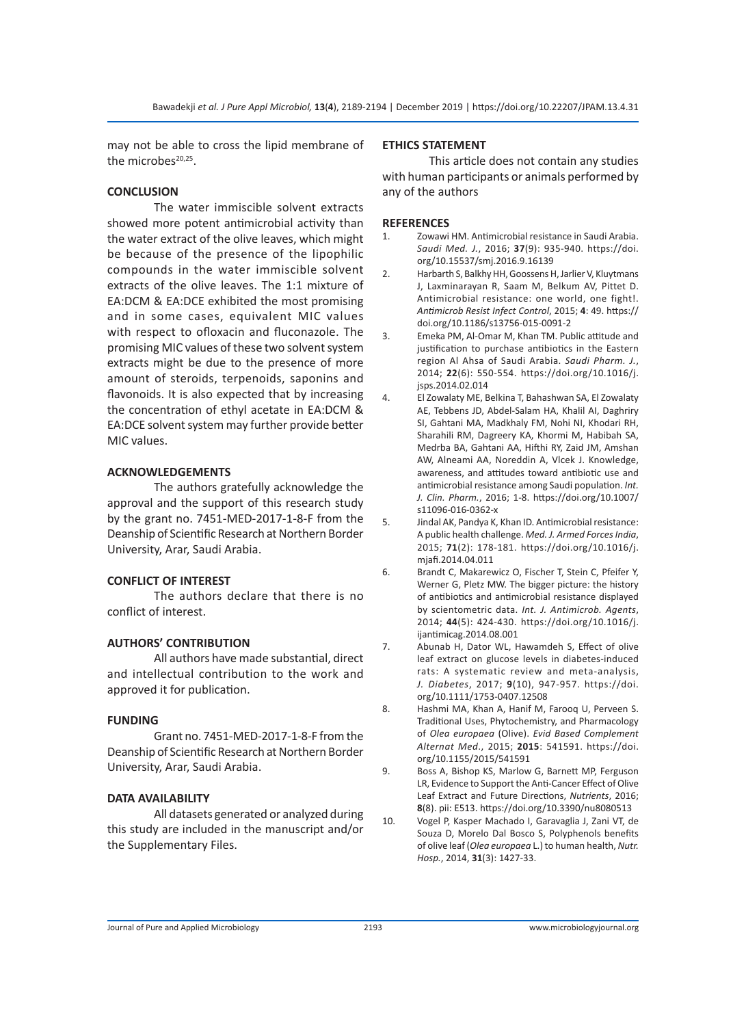may not be able to cross the lipid membrane of the microbes $20,25$ .

# **CONCLUSION**

The water immiscible solvent extracts showed more potent antimicrobial activity than the water extract of the olive leaves, which might be because of the presence of the lipophilic compounds in the water immiscible solvent extracts of the olive leaves. The 1:1 mixture of EA:DCM & EA:DCE exhibited the most promising and in some cases, equivalent MIC values with respect to ofloxacin and fluconazole. The promising MIC values of these two solvent system extracts might be due to the presence of more amount of steroids, terpenoids, saponins and flavonoids. It is also expected that by increasing the concentration of ethyl acetate in EA:DCM & EA:DCE solvent system may further provide better MIC values.

# **ACKNOWLEDGEMENTS**

The authors gratefully acknowledge the approval and the support of this research study by the grant no. 7451-MED-2017-1-8-F from the Deanship of Scientific Research at Northern Border University, Arar, Saudi Arabia.

# **CONFLICT OF INTEREST**

The authors declare that there is no conflict of interest.

# **AUTHORS' CONTRIBUTION**

All authors have made substantial, direct and intellectual contribution to the work and approved it for publication.

# **FUNDING**

Grant no. 7451-MED-2017-1-8-F from the Deanship of Scientific Research at Northern Border University, Arar, Saudi Arabia.

# **DATA AVAILABILITY**

All datasets generated or analyzed during this study are included in the manuscript and/or the Supplementary Files.

# **ETHICS STATEMENT**

This article does not contain any studies with human participants or animals performed by any of the authors

# **REFERENCES**

- 1. Zowawi HM. Antimicrobial resistance in Saudi Arabia. *Saudi Med. J.*, 2016; **37**(9): 935-940. https://doi. org/10.15537/smj.2016.9.16139
- 2. Harbarth S, Balkhy HH, Goossens H, Jarlier V, Kluytmans J, Laxminarayan R, Saam M, Belkum AV, Pittet D. Antimicrobial resistance: one world, one fight!. *Antimicrob Resist Infect Control*, 2015; **4**: 49. https:// doi.org/10.1186/s13756-015-0091-2
- 3. Emeka PM, Al-Omar M, Khan TM. Public attitude and justification to purchase antibiotics in the Eastern region Al Ahsa of Saudi Arabia. *Saudi Pharm. J.*, 2014; **22**(6): 550-554. https://doi.org/10.1016/j. jsps.2014.02.014
- 4. El Zowalaty ME, Belkina T, Bahashwan SA, El Zowalaty AE, Tebbens JD, Abdel-Salam HA, Khalil AI, Daghriry SI, Gahtani MA, Madkhaly FM, Nohi NI, Khodari RH, Sharahili RM, Dagreery KA, Khormi M, Habibah SA, Medrba BA, Gahtani AA, Hifthi RY, Zaid JM, Amshan AW, Alneami AA, Noreddin A, Vlcek J. Knowledge, awareness, and attitudes toward antibiotic use and antimicrobial resistance among Saudi population. *Int. J. Clin. Pharm.*, 2016; 1-8. https://doi.org/10.1007/ s11096-016-0362-x
- 5. Jindal AK, Pandya K, Khan ID. Antimicrobial resistance: A public health challenge. *Med. J. Armed Forces India*, 2015; **71**(2): 178-181. https://doi.org/10.1016/j. mjafi.2014.04.011
- 6. Brandt C, Makarewicz O, Fischer T, Stein C, Pfeifer Y, Werner G, Pletz MW. The bigger picture: the history of antibiotics and antimicrobial resistance displayed by scientometric data. *Int. J. Antimicrob. Agents*, 2014; **44**(5): 424-430. https://doi.org/10.1016/j. ijantimicag.2014.08.001
- 7. Abunab H, Dator WL, Hawamdeh S, Effect of olive leaf extract on glucose levels in diabetes-induced rats: A systematic review and meta-analysis, *J. Diabetes*, 2017; **9**(10), 947-957. https://doi. org/10.1111/1753-0407.12508
- 8. Hashmi MA, Khan A, Hanif M, Farooq U, Perveen S. Traditional Uses, Phytochemistry, and Pharmacology of *Olea europaea* (Olive). *Evid Based Complement Alternat Med*., 2015; **2015**: 541591. https://doi. org/10.1155/2015/541591
- 9. Boss A, Bishop KS, Marlow G, Barnett MP, Ferguson LR, Evidence to Support the Anti-Cancer Effect of Olive Leaf Extract and Future Directions, *Nutrients*, 2016; **8**(8). pii: E513. https://doi.org/10.3390/nu8080513
- 10. Vogel P, Kasper Machado I, Garavaglia J, Zani VT, de Souza D, Morelo Dal Bosco S, Polyphenols benefits of olive leaf (*Olea europaea* L.) to human health, *Nutr. Hosp.*, 2014, **31**(3): 1427-33.